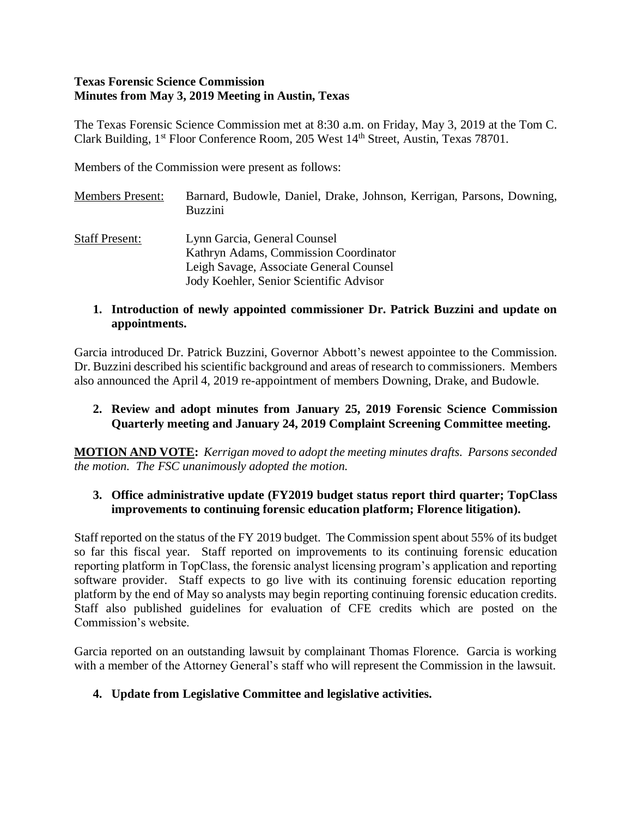#### **Texas Forensic Science Commission Minutes from May 3, 2019 Meeting in Austin, Texas**

The Texas Forensic Science Commission met at 8:30 a.m. on Friday, May 3, 2019 at the Tom C. Clark Building, 1<sup>st</sup> Floor Conference Room, 205 West 14<sup>th</sup> Street, Austin, Texas 78701.

Members of the Commission were present as follows:

Members Present: Barnard, Budowle, Daniel, Drake, Johnson, Kerrigan, Parsons, Downing, Buzzini Staff Present: Lynn Garcia, General Counsel Kathryn Adams, Commission Coordinator Leigh Savage, Associate General Counsel Jody Koehler, Senior Scientific Advisor

## **1. Introduction of newly appointed commissioner Dr. Patrick Buzzini and update on appointments.**

Garcia introduced Dr. Patrick Buzzini, Governor Abbott's newest appointee to the Commission. Dr. Buzzini described his scientific background and areas of research to commissioners. Members also announced the April 4, 2019 re-appointment of members Downing, Drake, and Budowle.

## **2. Review and adopt minutes from January 25, 2019 Forensic Science Commission Quarterly meeting and January 24, 2019 Complaint Screening Committee meeting.**

**MOTION AND VOTE:** *Kerrigan moved to adopt the meeting minutes drafts. Parsons seconded the motion. The FSC unanimously adopted the motion.*

#### **3. Office administrative update (FY2019 budget status report third quarter; TopClass improvements to continuing forensic education platform; Florence litigation).**

Staff reported on the status of the FY 2019 budget. The Commission spent about 55% of its budget so far this fiscal year. Staff reported on improvements to its continuing forensic education reporting platform in TopClass, the forensic analyst licensing program's application and reporting software provider. Staff expects to go live with its continuing forensic education reporting platform by the end of May so analysts may begin reporting continuing forensic education credits. Staff also published guidelines for evaluation of CFE credits which are posted on the Commission's website.

Garcia reported on an outstanding lawsuit by complainant Thomas Florence. Garcia is working with a member of the Attorney General's staff who will represent the Commission in the lawsuit.

## **4. Update from Legislative Committee and legislative activities.**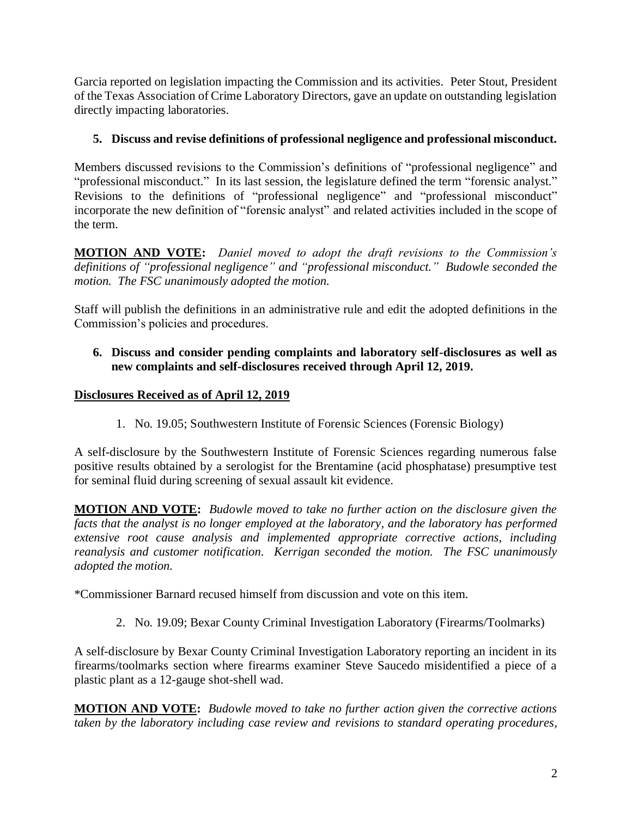Garcia reported on legislation impacting the Commission and its activities. Peter Stout, President of the Texas Association of Crime Laboratory Directors, gave an update on outstanding legislation directly impacting laboratories.

# **5. Discuss and revise definitions of professional negligence and professional misconduct.**

Members discussed revisions to the Commission's definitions of "professional negligence" and "professional misconduct." In its last session, the legislature defined the term "forensic analyst." Revisions to the definitions of "professional negligence" and "professional misconduct" incorporate the new definition of "forensic analyst" and related activities included in the scope of the term.

**MOTION AND VOTE:** *Daniel moved to adopt the draft revisions to the Commission's definitions of "professional negligence" and "professional misconduct." Budowle seconded the motion. The FSC unanimously adopted the motion.* 

Staff will publish the definitions in an administrative rule and edit the adopted definitions in the Commission's policies and procedures.

## **6. Discuss and consider pending complaints and laboratory self-disclosures as well as new complaints and self-disclosures received through April 12, 2019.**

# **Disclosures Received as of April 12, 2019**

1. No. 19.05; Southwestern Institute of Forensic Sciences (Forensic Biology)

A self-disclosure by the Southwestern Institute of Forensic Sciences regarding numerous false positive results obtained by a serologist for the Brentamine (acid phosphatase) presumptive test for seminal fluid during screening of sexual assault kit evidence.

**MOTION AND VOTE:** *Budowle moved to take no further action on the disclosure given the facts that the analyst is no longer employed at the laboratory, and the laboratory has performed extensive root cause analysis and implemented appropriate corrective actions, including reanalysis and customer notification. Kerrigan seconded the motion. The FSC unanimously adopted the motion.*

\*Commissioner Barnard recused himself from discussion and vote on this item.

2. No. 19.09; Bexar County Criminal Investigation Laboratory (Firearms/Toolmarks)

A self-disclosure by Bexar County Criminal Investigation Laboratory reporting an incident in its firearms/toolmarks section where firearms examiner Steve Saucedo misidentified a piece of a plastic plant as a 12-gauge shot-shell wad.

**MOTION AND VOTE:** *Budowle moved to take no further action given the corrective actions taken by the laboratory including case review and revisions to standard operating procedures,*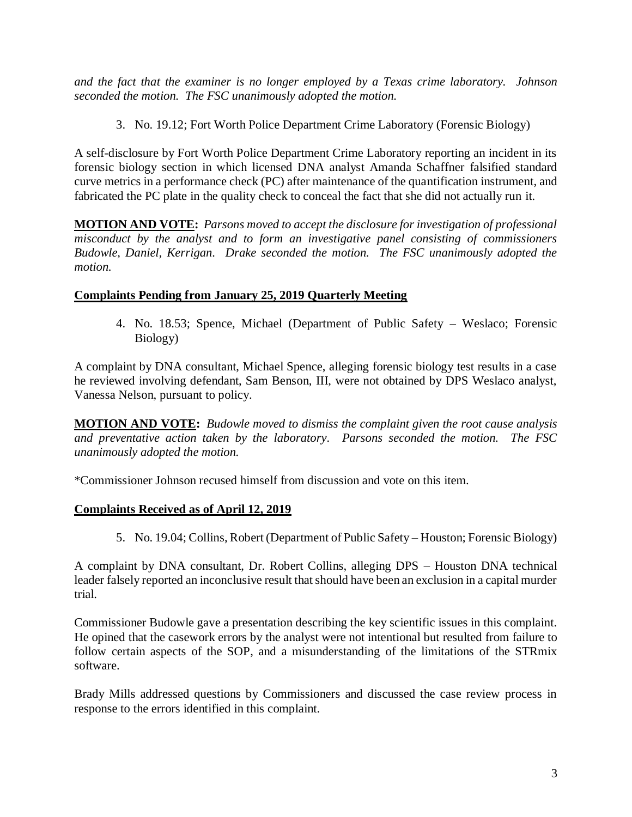*and the fact that the examiner is no longer employed by a Texas crime laboratory. Johnson seconded the motion. The FSC unanimously adopted the motion.*

3. No. 19.12; Fort Worth Police Department Crime Laboratory (Forensic Biology)

A self-disclosure by Fort Worth Police Department Crime Laboratory reporting an incident in its forensic biology section in which licensed DNA analyst Amanda Schaffner falsified standard curve metrics in a performance check (PC) after maintenance of the quantification instrument, and fabricated the PC plate in the quality check to conceal the fact that she did not actually run it.

**MOTION AND VOTE:** *Parsons moved to accept the disclosure for investigation of professional misconduct by the analyst and to form an investigative panel consisting of commissioners Budowle, Daniel, Kerrigan. Drake seconded the motion. The FSC unanimously adopted the motion.*

## **Complaints Pending from January 25, 2019 Quarterly Meeting**

4. No. 18.53; Spence, Michael (Department of Public Safety – Weslaco; Forensic Biology)

A complaint by DNA consultant, Michael Spence, alleging forensic biology test results in a case he reviewed involving defendant, Sam Benson, III, were not obtained by DPS Weslaco analyst, Vanessa Nelson, pursuant to policy.

**MOTION AND VOTE:** *Budowle moved to dismiss the complaint given the root cause analysis and preventative action taken by the laboratory. Parsons seconded the motion. The FSC unanimously adopted the motion.*

\*Commissioner Johnson recused himself from discussion and vote on this item.

# **Complaints Received as of April 12, 2019**

5. No. 19.04; Collins, Robert (Department of Public Safety – Houston; Forensic Biology)

A complaint by DNA consultant, Dr. Robert Collins, alleging DPS – Houston DNA technical leader falsely reported an inconclusive result that should have been an exclusion in a capital murder trial.

Commissioner Budowle gave a presentation describing the key scientific issues in this complaint. He opined that the casework errors by the analyst were not intentional but resulted from failure to follow certain aspects of the SOP, and a misunderstanding of the limitations of the STRmix software.

Brady Mills addressed questions by Commissioners and discussed the case review process in response to the errors identified in this complaint.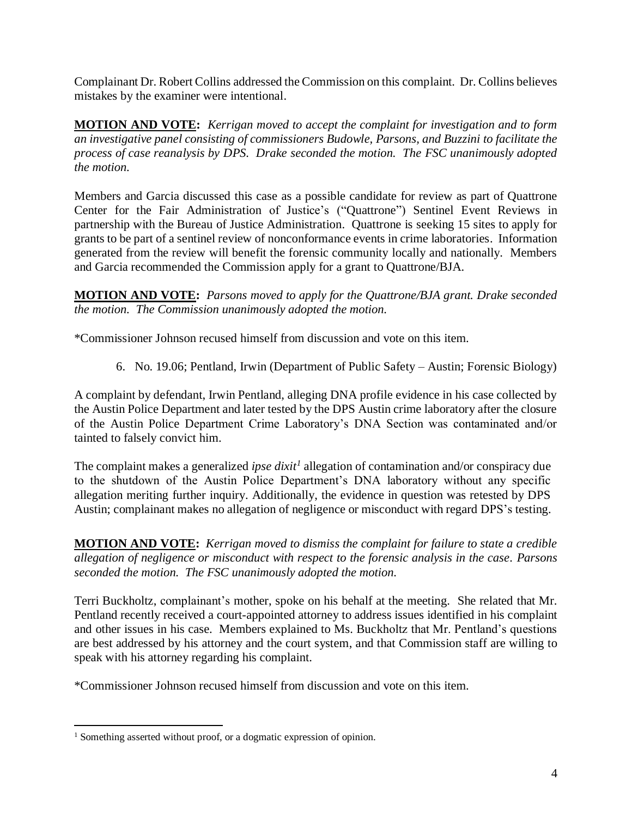Complainant Dr. Robert Collins addressed the Commission on this complaint. Dr. Collins believes mistakes by the examiner were intentional.

**MOTION AND VOTE:** *Kerrigan moved to accept the complaint for investigation and to form an investigative panel consisting of commissioners Budowle, Parsons, and Buzzini to facilitate the process of case reanalysis by DPS. Drake seconded the motion. The FSC unanimously adopted the motion.*

Members and Garcia discussed this case as a possible candidate for review as part of Quattrone Center for the Fair Administration of Justice's ("Quattrone") Sentinel Event Reviews in partnership with the Bureau of Justice Administration. Quattrone is seeking 15 sites to apply for grants to be part of a sentinel review of nonconformance events in crime laboratories. Information generated from the review will benefit the forensic community locally and nationally. Members and Garcia recommended the Commission apply for a grant to Quattrone/BJA.

**MOTION AND VOTE:** *Parsons moved to apply for the Quattrone/BJA grant. Drake seconded the motion. The Commission unanimously adopted the motion.* 

\*Commissioner Johnson recused himself from discussion and vote on this item.

6. No. 19.06; Pentland, Irwin (Department of Public Safety – Austin; Forensic Biology)

A complaint by defendant, Irwin Pentland, alleging DNA profile evidence in his case collected by the Austin Police Department and later tested by the DPS Austin crime laboratory after the closure of the Austin Police Department Crime Laboratory's DNA Section was contaminated and/or tainted to falsely convict him.

The complaint makes a generalized *ipse dixit<sup>1</sup>* allegation of contamination and/or conspiracy due to the shutdown of the Austin Police Department's DNA laboratory without any specific allegation meriting further inquiry. Additionally, the evidence in question was retested by DPS Austin; complainant makes no allegation of negligence or misconduct with regard DPS's testing.

**MOTION AND VOTE:** *Kerrigan moved to dismiss the complaint for failure to state a credible allegation of negligence or misconduct with respect to the forensic analysis in the case. Parsons seconded the motion. The FSC unanimously adopted the motion.*

Terri Buckholtz, complainant's mother, spoke on his behalf at the meeting. She related that Mr. Pentland recently received a court-appointed attorney to address issues identified in his complaint and other issues in his case. Members explained to Ms. Buckholtz that Mr. Pentland's questions are best addressed by his attorney and the court system, and that Commission staff are willing to speak with his attorney regarding his complaint.

\*Commissioner Johnson recused himself from discussion and vote on this item.

<sup>&</sup>lt;sup>1</sup> Something asserted without proof, or a dogmatic expression of opinion.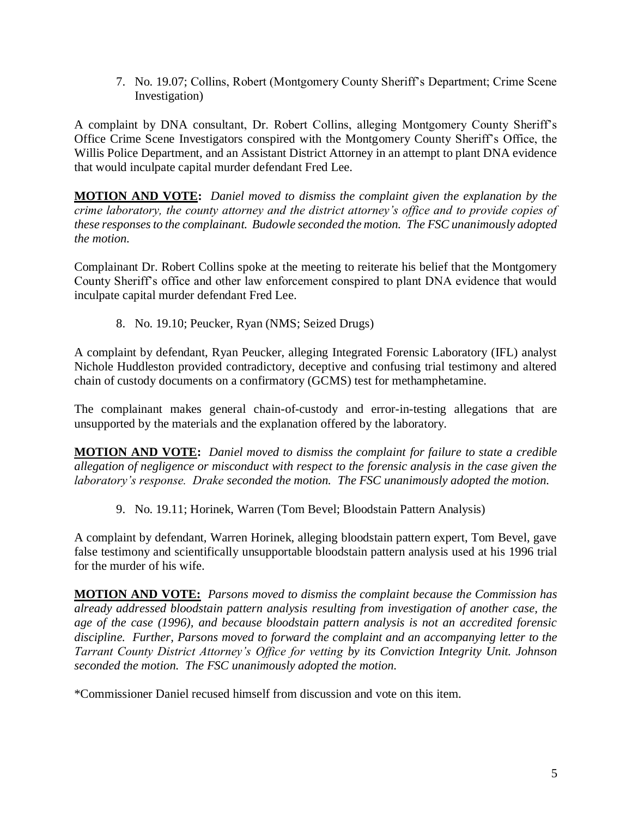7. No. 19.07; Collins, Robert (Montgomery County Sheriff's Department; Crime Scene Investigation)

A complaint by DNA consultant, Dr. Robert Collins, alleging Montgomery County Sheriff's Office Crime Scene Investigators conspired with the Montgomery County Sheriff's Office, the Willis Police Department, and an Assistant District Attorney in an attempt to plant DNA evidence that would inculpate capital murder defendant Fred Lee.

**MOTION AND VOTE:** *Daniel moved to dismiss the complaint given the explanation by the crime laboratory, the county attorney and the district attorney's office and to provide copies of these responses to the complainant. Budowle seconded the motion. The FSC unanimously adopted the motion.*

Complainant Dr. Robert Collins spoke at the meeting to reiterate his belief that the Montgomery County Sheriff's office and other law enforcement conspired to plant DNA evidence that would inculpate capital murder defendant Fred Lee.

8. No. 19.10; Peucker, Ryan (NMS; Seized Drugs)

A complaint by defendant, Ryan Peucker, alleging Integrated Forensic Laboratory (IFL) analyst Nichole Huddleston provided contradictory, deceptive and confusing trial testimony and altered chain of custody documents on a confirmatory (GCMS) test for methamphetamine.

The complainant makes general chain-of-custody and error-in-testing allegations that are unsupported by the materials and the explanation offered by the laboratory.

**MOTION AND VOTE:** *Daniel moved to dismiss the complaint for failure to state a credible allegation of negligence or misconduct with respect to the forensic analysis in the case given the laboratory's response. Drake seconded the motion. The FSC unanimously adopted the motion.*

9. No. 19.11; Horinek, Warren (Tom Bevel; Bloodstain Pattern Analysis)

A complaint by defendant, Warren Horinek, alleging bloodstain pattern expert, Tom Bevel, gave false testimony and scientifically unsupportable bloodstain pattern analysis used at his 1996 trial for the murder of his wife.

**MOTION AND VOTE:** *Parsons moved to dismiss the complaint because the Commission has already addressed bloodstain pattern analysis resulting from investigation of another case, the age of the case (1996), and because bloodstain pattern analysis is not an accredited forensic discipline. Further, Parsons moved to forward the complaint and an accompanying letter to the Tarrant County District Attorney's Office for vetting by its Conviction Integrity Unit. Johnson seconded the motion. The FSC unanimously adopted the motion.*

\*Commissioner Daniel recused himself from discussion and vote on this item.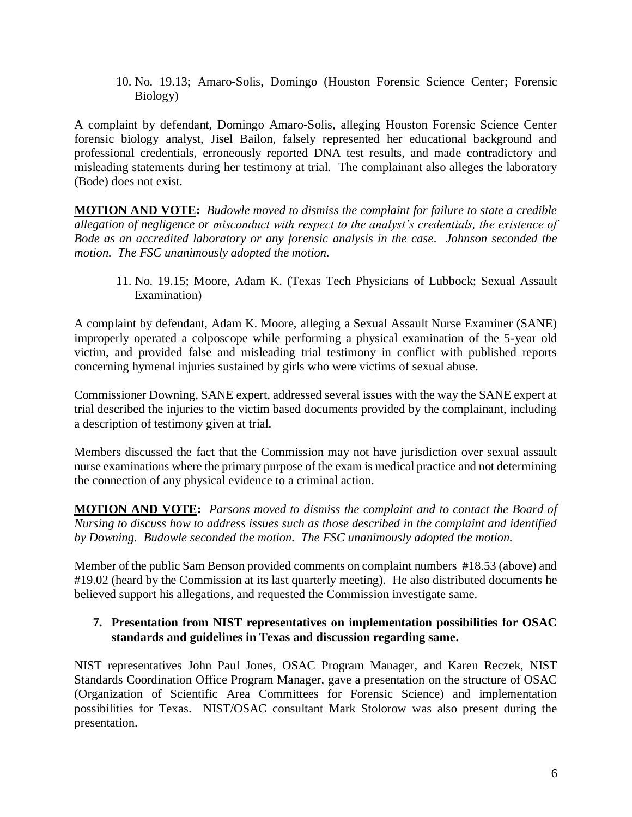10. No. 19.13; Amaro-Solis, Domingo (Houston Forensic Science Center; Forensic Biology)

A complaint by defendant, Domingo Amaro-Solis, alleging Houston Forensic Science Center forensic biology analyst, Jisel Bailon, falsely represented her educational background and professional credentials, erroneously reported DNA test results, and made contradictory and misleading statements during her testimony at trial. The complainant also alleges the laboratory (Bode) does not exist.

**MOTION AND VOTE:** *Budowle moved to dismiss the complaint for failure to state a credible allegation of negligence or misconduct with respect to the analyst's credentials, the existence of Bode as an accredited laboratory or any forensic analysis in the case. Johnson seconded the motion. The FSC unanimously adopted the motion.*

11. No. 19.15; Moore, Adam K. (Texas Tech Physicians of Lubbock; Sexual Assault Examination)

A complaint by defendant, Adam K. Moore, alleging a Sexual Assault Nurse Examiner (SANE) improperly operated a colposcope while performing a physical examination of the 5-year old victim, and provided false and misleading trial testimony in conflict with published reports concerning hymenal injuries sustained by girls who were victims of sexual abuse.

Commissioner Downing, SANE expert, addressed several issues with the way the SANE expert at trial described the injuries to the victim based documents provided by the complainant, including a description of testimony given at trial.

Members discussed the fact that the Commission may not have jurisdiction over sexual assault nurse examinations where the primary purpose of the exam is medical practice and not determining the connection of any physical evidence to a criminal action.

**MOTION AND VOTE:** *Parsons moved to dismiss the complaint and to contact the Board of Nursing to discuss how to address issues such as those described in the complaint and identified by Downing. Budowle seconded the motion. The FSC unanimously adopted the motion.*

Member of the public Sam Benson provided comments on complaint numbers #18.53 (above) and #19.02 (heard by the Commission at its last quarterly meeting). He also distributed documents he believed support his allegations, and requested the Commission investigate same.

## **7. Presentation from NIST representatives on implementation possibilities for OSAC standards and guidelines in Texas and discussion regarding same.**

NIST representatives John Paul Jones, OSAC Program Manager, and Karen Reczek, NIST Standards Coordination Office Program Manager, gave a presentation on the structure of OSAC (Organization of Scientific Area Committees for Forensic Science) and implementation possibilities for Texas. NIST/OSAC consultant Mark Stolorow was also present during the presentation.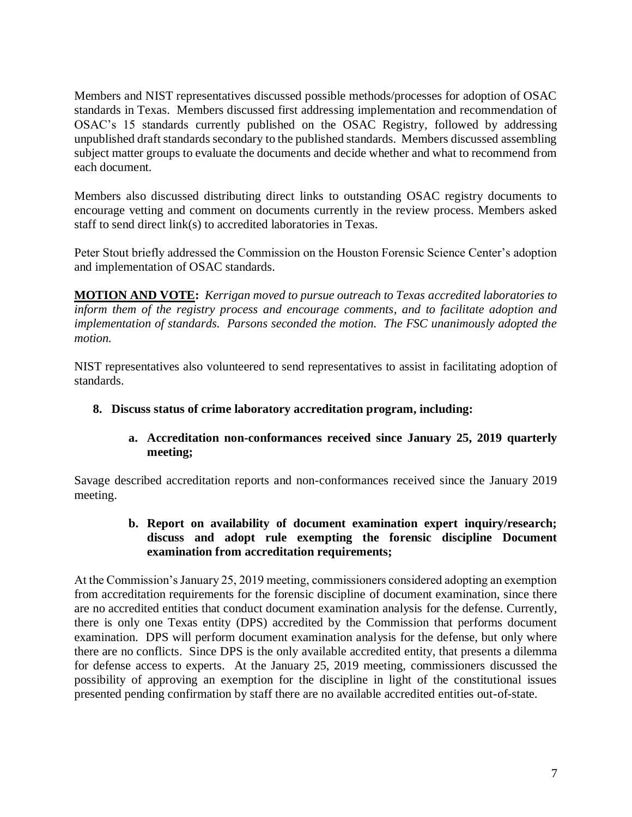Members and NIST representatives discussed possible methods/processes for adoption of OSAC standards in Texas. Members discussed first addressing implementation and recommendation of OSAC's 15 standards currently published on the OSAC Registry, followed by addressing unpublished draft standards secondary to the published standards. Members discussed assembling subject matter groups to evaluate the documents and decide whether and what to recommend from each document.

Members also discussed distributing direct links to outstanding OSAC registry documents to encourage vetting and comment on documents currently in the review process. Members asked staff to send direct link(s) to accredited laboratories in Texas.

Peter Stout briefly addressed the Commission on the Houston Forensic Science Center's adoption and implementation of OSAC standards.

**MOTION AND VOTE:** *Kerrigan moved to pursue outreach to Texas accredited laboratories to inform them of the registry process and encourage comments, and to facilitate adoption and implementation of standards. Parsons seconded the motion. The FSC unanimously adopted the motion.*

NIST representatives also volunteered to send representatives to assist in facilitating adoption of standards.

**8. Discuss status of crime laboratory accreditation program, including:**

#### **a. Accreditation non-conformances received since January 25, 2019 quarterly meeting;**

Savage described accreditation reports and non-conformances received since the January 2019 meeting.

#### **b. Report on availability of document examination expert inquiry/research; discuss and adopt rule exempting the forensic discipline Document examination from accreditation requirements;**

At the Commission's January 25, 2019 meeting, commissioners considered adopting an exemption from accreditation requirements for the forensic discipline of document examination, since there are no accredited entities that conduct document examination analysis for the defense. Currently, there is only one Texas entity (DPS) accredited by the Commission that performs document examination. DPS will perform document examination analysis for the defense, but only where there are no conflicts. Since DPS is the only available accredited entity, that presents a dilemma for defense access to experts. At the January 25, 2019 meeting, commissioners discussed the possibility of approving an exemption for the discipline in light of the constitutional issues presented pending confirmation by staff there are no available accredited entities out-of-state.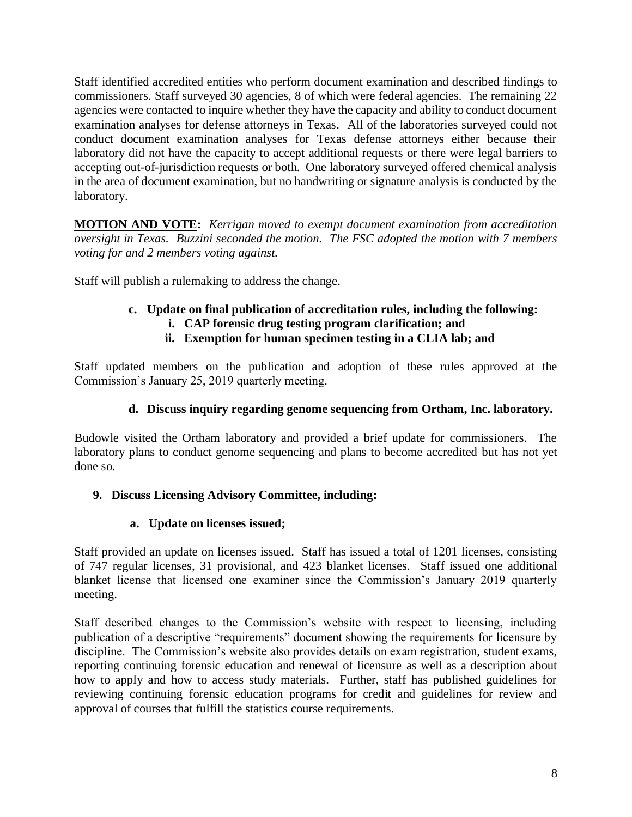Staff identified accredited entities who perform document examination and described findings to commissioners. Staff surveyed 30 agencies, 8 of which were federal agencies. The remaining 22 agencies were contacted to inquire whether they have the capacity and ability to conduct document examination analyses for defense attorneys in Texas. All of the laboratories surveyed could not conduct document examination analyses for Texas defense attorneys either because their laboratory did not have the capacity to accept additional requests or there were legal barriers to accepting out-of-jurisdiction requests or both. One laboratory surveyed offered chemical analysis in the area of document examination, but no handwriting or signature analysis is conducted by the laboratory.

**MOTION AND VOTE:** *Kerrigan moved to exempt document examination from accreditation oversight in Texas. Buzzini seconded the motion. The FSC adopted the motion with 7 members voting for and 2 members voting against.* 

Staff will publish a rulemaking to address the change.

# **c. Update on final publication of accreditation rules, including the following:**

- **i. CAP forensic drug testing program clarification; and**
- **ii. Exemption for human specimen testing in a CLIA lab; and**

Staff updated members on the publication and adoption of these rules approved at the Commission's January 25, 2019 quarterly meeting.

## **d. Discuss inquiry regarding genome sequencing from Ortham, Inc. laboratory.**

Budowle visited the Ortham laboratory and provided a brief update for commissioners. The laboratory plans to conduct genome sequencing and plans to become accredited but has not yet done so.

## **9. Discuss Licensing Advisory Committee, including:**

## **a. Update on licenses issued;**

Staff provided an update on licenses issued. Staff has issued a total of 1201 licenses, consisting of 747 regular licenses, 31 provisional, and 423 blanket licenses. Staff issued one additional blanket license that licensed one examiner since the Commission's January 2019 quarterly meeting.

Staff described changes to the Commission's website with respect to licensing, including publication of a descriptive "requirements" document showing the requirements for licensure by discipline. The Commission's website also provides details on exam registration, student exams, reporting continuing forensic education and renewal of licensure as well as a description about how to apply and how to access study materials. Further, staff has published guidelines for reviewing continuing forensic education programs for credit and guidelines for review and approval of courses that fulfill the statistics course requirements.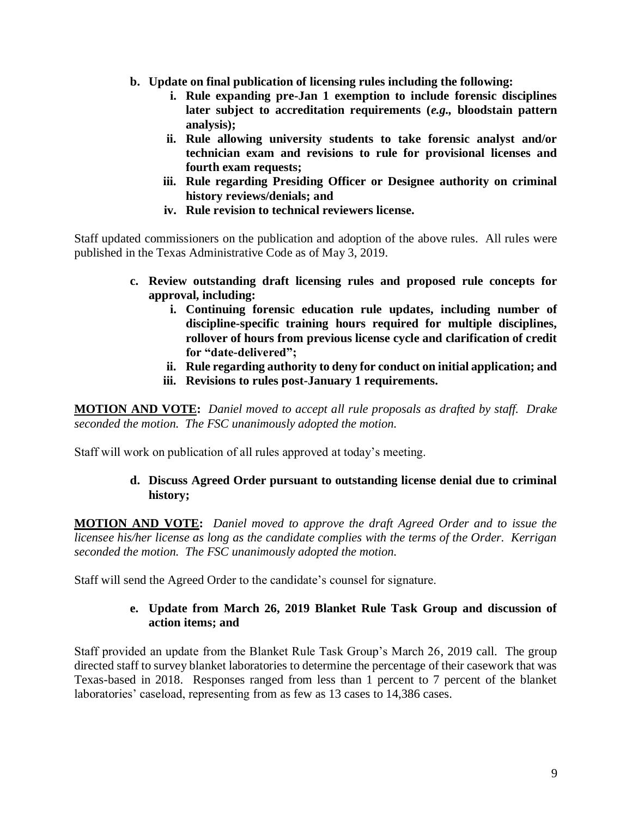- **b. Update on final publication of licensing rules including the following:**
	- **i. Rule expanding pre-Jan 1 exemption to include forensic disciplines later subject to accreditation requirements (***e.g.,* **bloodstain pattern analysis);**
	- **ii. Rule allowing university students to take forensic analyst and/or technician exam and revisions to rule for provisional licenses and fourth exam requests;**
	- **iii. Rule regarding Presiding Officer or Designee authority on criminal history reviews/denials; and**
	- **iv. Rule revision to technical reviewers license.**

Staff updated commissioners on the publication and adoption of the above rules. All rules were published in the Texas Administrative Code as of May 3, 2019.

- **c. Review outstanding draft licensing rules and proposed rule concepts for approval, including:** 
	- **i. Continuing forensic education rule updates, including number of discipline-specific training hours required for multiple disciplines, rollover of hours from previous license cycle and clarification of credit for "date-delivered";**
	- **ii. Rule regarding authority to deny for conduct on initial application; and**
	- **iii. Revisions to rules post-January 1 requirements.**

**MOTION AND VOTE:** *Daniel moved to accept all rule proposals as drafted by staff. Drake seconded the motion. The FSC unanimously adopted the motion.*

Staff will work on publication of all rules approved at today's meeting.

## **d. Discuss Agreed Order pursuant to outstanding license denial due to criminal history;**

**MOTION AND VOTE:** *Daniel moved to approve the draft Agreed Order and to issue the licensee his/her license as long as the candidate complies with the terms of the Order. Kerrigan seconded the motion. The FSC unanimously adopted the motion.* 

Staff will send the Agreed Order to the candidate's counsel for signature.

## **e. Update from March 26, 2019 Blanket Rule Task Group and discussion of action items; and**

Staff provided an update from the Blanket Rule Task Group's March 26, 2019 call. The group directed staff to survey blanket laboratories to determine the percentage of their casework that was Texas-based in 2018. Responses ranged from less than 1 percent to 7 percent of the blanket laboratories' caseload, representing from as few as 13 cases to 14,386 cases.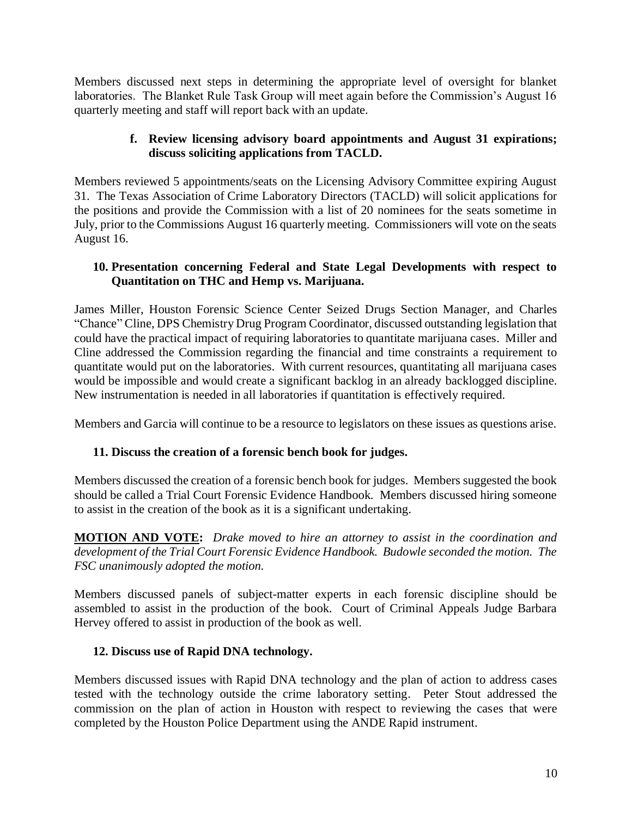Members discussed next steps in determining the appropriate level of oversight for blanket laboratories. The Blanket Rule Task Group will meet again before the Commission's August 16 quarterly meeting and staff will report back with an update.

## **f. Review licensing advisory board appointments and August 31 expirations; discuss soliciting applications from TACLD.**

Members reviewed 5 appointments/seats on the Licensing Advisory Committee expiring August 31. The Texas Association of Crime Laboratory Directors (TACLD) will solicit applications for the positions and provide the Commission with a list of 20 nominees for the seats sometime in July, prior to the Commissions August 16 quarterly meeting. Commissioners will vote on the seats August 16.

## **10. Presentation concerning Federal and State Legal Developments with respect to Quantitation on THC and Hemp vs. Marijuana.**

James Miller, Houston Forensic Science Center Seized Drugs Section Manager, and Charles "Chance" Cline, DPS Chemistry Drug Program Coordinator, discussed outstanding legislation that could have the practical impact of requiring laboratories to quantitate marijuana cases. Miller and Cline addressed the Commission regarding the financial and time constraints a requirement to quantitate would put on the laboratories. With current resources, quantitating all marijuana cases would be impossible and would create a significant backlog in an already backlogged discipline. New instrumentation is needed in all laboratories if quantitation is effectively required.

Members and Garcia will continue to be a resource to legislators on these issues as questions arise.

## **11. Discuss the creation of a forensic bench book for judges.**

Members discussed the creation of a forensic bench book for judges. Members suggested the book should be called a Trial Court Forensic Evidence Handbook. Members discussed hiring someone to assist in the creation of the book as it is a significant undertaking.

**MOTION AND VOTE:** *Drake moved to hire an attorney to assist in the coordination and development of the Trial Court Forensic Evidence Handbook. Budowle seconded the motion. The FSC unanimously adopted the motion.* 

Members discussed panels of subject-matter experts in each forensic discipline should be assembled to assist in the production of the book. Court of Criminal Appeals Judge Barbara Hervey offered to assist in production of the book as well.

## **12. Discuss use of Rapid DNA technology.**

Members discussed issues with Rapid DNA technology and the plan of action to address cases tested with the technology outside the crime laboratory setting. Peter Stout addressed the commission on the plan of action in Houston with respect to reviewing the cases that were completed by the Houston Police Department using the ANDE Rapid instrument.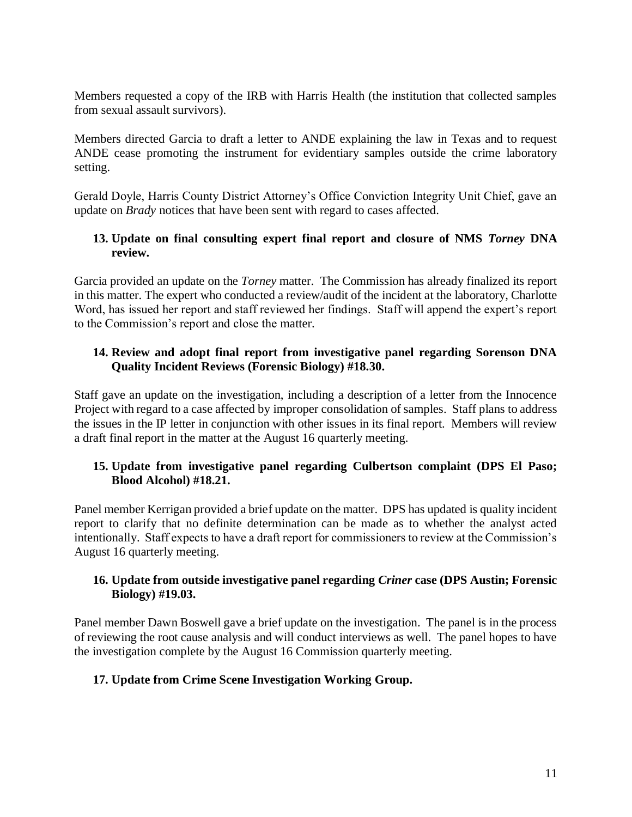Members requested a copy of the IRB with Harris Health (the institution that collected samples from sexual assault survivors).

Members directed Garcia to draft a letter to ANDE explaining the law in Texas and to request ANDE cease promoting the instrument for evidentiary samples outside the crime laboratory setting.

Gerald Doyle, Harris County District Attorney's Office Conviction Integrity Unit Chief, gave an update on *Brady* notices that have been sent with regard to cases affected.

# **13. Update on final consulting expert final report and closure of NMS** *Torney* **DNA review.**

Garcia provided an update on the *Torney* matter. The Commission has already finalized its report in this matter. The expert who conducted a review/audit of the incident at the laboratory, Charlotte Word, has issued her report and staff reviewed her findings. Staff will append the expert's report to the Commission's report and close the matter.

## **14. Review and adopt final report from investigative panel regarding Sorenson DNA Quality Incident Reviews (Forensic Biology) #18.30.**

Staff gave an update on the investigation, including a description of a letter from the Innocence Project with regard to a case affected by improper consolidation of samples. Staff plans to address the issues in the IP letter in conjunction with other issues in its final report. Members will review a draft final report in the matter at the August 16 quarterly meeting.

## **15. Update from investigative panel regarding Culbertson complaint (DPS El Paso; Blood Alcohol) #18.21.**

Panel member Kerrigan provided a brief update on the matter. DPS has updated is quality incident report to clarify that no definite determination can be made as to whether the analyst acted intentionally. Staff expects to have a draft report for commissioners to review at the Commission's August 16 quarterly meeting.

## **16. Update from outside investigative panel regarding** *Criner* **case (DPS Austin; Forensic Biology) #19.03.**

Panel member Dawn Boswell gave a brief update on the investigation. The panel is in the process of reviewing the root cause analysis and will conduct interviews as well. The panel hopes to have the investigation complete by the August 16 Commission quarterly meeting.

# **17. Update from Crime Scene Investigation Working Group.**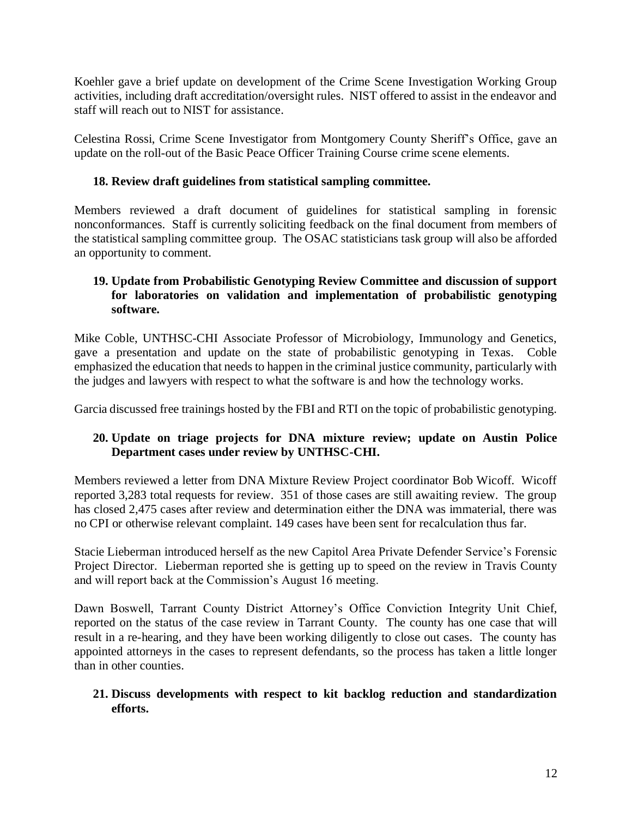Koehler gave a brief update on development of the Crime Scene Investigation Working Group activities, including draft accreditation/oversight rules. NIST offered to assist in the endeavor and staff will reach out to NIST for assistance.

Celestina Rossi, Crime Scene Investigator from Montgomery County Sheriff's Office, gave an update on the roll-out of the Basic Peace Officer Training Course crime scene elements.

# **18. Review draft guidelines from statistical sampling committee.**

Members reviewed a draft document of guidelines for statistical sampling in forensic nonconformances. Staff is currently soliciting feedback on the final document from members of the statistical sampling committee group. The OSAC statisticians task group will also be afforded an opportunity to comment.

## **19. Update from Probabilistic Genotyping Review Committee and discussion of support for laboratories on validation and implementation of probabilistic genotyping software.**

Mike Coble, UNTHSC-CHI Associate Professor of Microbiology, Immunology and Genetics, gave a presentation and update on the state of probabilistic genotyping in Texas. Coble emphasized the education that needs to happen in the criminal justice community, particularly with the judges and lawyers with respect to what the software is and how the technology works.

Garcia discussed free trainings hosted by the FBI and RTI on the topic of probabilistic genotyping.

# **20. Update on triage projects for DNA mixture review; update on Austin Police Department cases under review by UNTHSC-CHI.**

Members reviewed a letter from DNA Mixture Review Project coordinator Bob Wicoff. Wicoff reported 3,283 total requests for review. 351 of those cases are still awaiting review. The group has closed 2,475 cases after review and determination either the DNA was immaterial, there was no CPI or otherwise relevant complaint. 149 cases have been sent for recalculation thus far.

Stacie Lieberman introduced herself as the new Capitol Area Private Defender Service's Forensic Project Director. Lieberman reported she is getting up to speed on the review in Travis County and will report back at the Commission's August 16 meeting.

Dawn Boswell, Tarrant County District Attorney's Office Conviction Integrity Unit Chief, reported on the status of the case review in Tarrant County. The county has one case that will result in a re-hearing, and they have been working diligently to close out cases. The county has appointed attorneys in the cases to represent defendants, so the process has taken a little longer than in other counties.

## **21. Discuss developments with respect to kit backlog reduction and standardization efforts.**